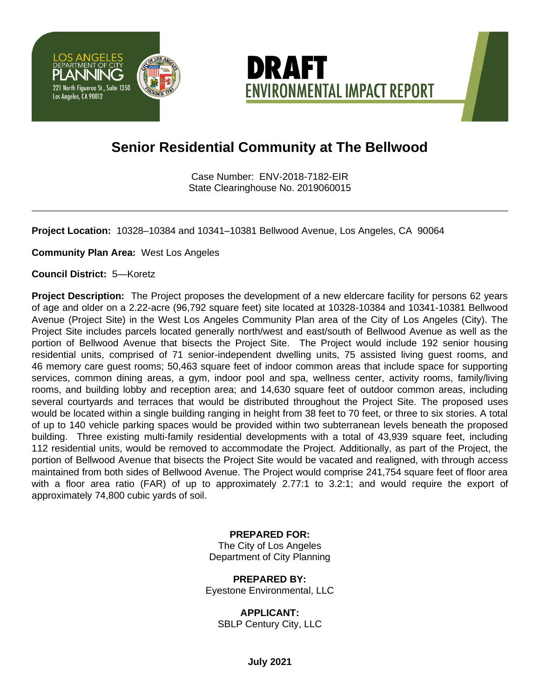



## **Senior Residential Community at The Bellwood**

Case Number: ENV-2018-7182-EIR State Clearinghouse No. 2019060015

**Project Location:** 10328–10384 and 10341–10381 Bellwood Avenue, Los Angeles, CA 90064

**Community Plan Area:** West Los Angeles

**Council District:** 5—Koretz

**Project Description:** The Project proposes the development of a new eldercare facility for persons 62 years of age and older on a 2.22-acre (96,792 square feet) site located at 10328-10384 and 10341-10381 Bellwood Avenue (Project Site) in the West Los Angeles Community Plan area of the City of Los Angeles (City). The Project Site includes parcels located generally north/west and east/south of Bellwood Avenue as well as the portion of Bellwood Avenue that bisects the Project Site. The Project would include 192 senior housing residential units, comprised of 71 senior-independent dwelling units, 75 assisted living guest rooms, and 46 memory care guest rooms; 50,463 square feet of indoor common areas that include space for supporting services, common dining areas, a gym, indoor pool and spa, wellness center, activity rooms, family/living rooms, and building lobby and reception area; and 14,630 square feet of outdoor common areas, including several courtyards and terraces that would be distributed throughout the Project Site. The proposed uses would be located within a single building ranging in height from 38 feet to 70 feet, or three to six stories. A total of up to 140 vehicle parking spaces would be provided within two subterranean levels beneath the proposed building. Three existing multi-family residential developments with a total of 43,939 square feet, including 112 residential units, would be removed to accommodate the Project. Additionally, as part of the Project, the portion of Bellwood Avenue that bisects the Project Site would be vacated and realigned, with through access maintained from both sides of Bellwood Avenue. The Project would comprise 241,754 square feet of floor area with a floor area ratio (FAR) of up to approximately 2.77:1 to 3.2:1; and would require the export of approximately 74,800 cubic yards of soil.

## **PREPARED FOR:**

The City of Los Angeles Department of City Planning

**PREPARED BY:** Eyestone Environmental, LLC

**APPLICANT:** SBLP Century City, LLC

**July 2021**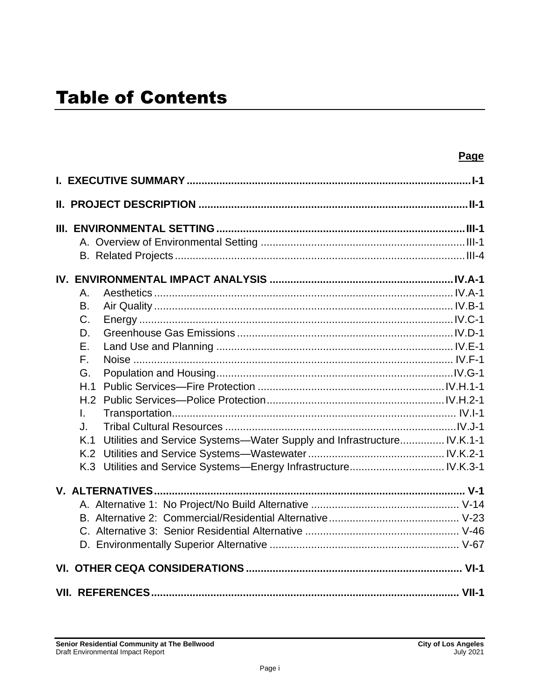|                                                                               | Page |
|-------------------------------------------------------------------------------|------|
|                                                                               |      |
|                                                                               |      |
|                                                                               |      |
|                                                                               |      |
|                                                                               |      |
|                                                                               |      |
| Α.                                                                            |      |
| <b>B.</b>                                                                     |      |
| $C_{\cdot}$                                                                   |      |
| D.                                                                            |      |
| $F_{\perp}$                                                                   |      |
| $F_{\perp}$                                                                   |      |
| G.                                                                            |      |
| H.1                                                                           |      |
| H.2                                                                           |      |
| $\mathbf{L}$                                                                  |      |
| J.                                                                            |      |
| Utilities and Service Systems-Water Supply and Infrastructure IV.K.1-1<br>K.1 |      |
| K.2                                                                           |      |
| K.3                                                                           |      |
|                                                                               |      |
|                                                                               |      |
|                                                                               |      |
|                                                                               |      |
|                                                                               |      |
|                                                                               |      |
|                                                                               |      |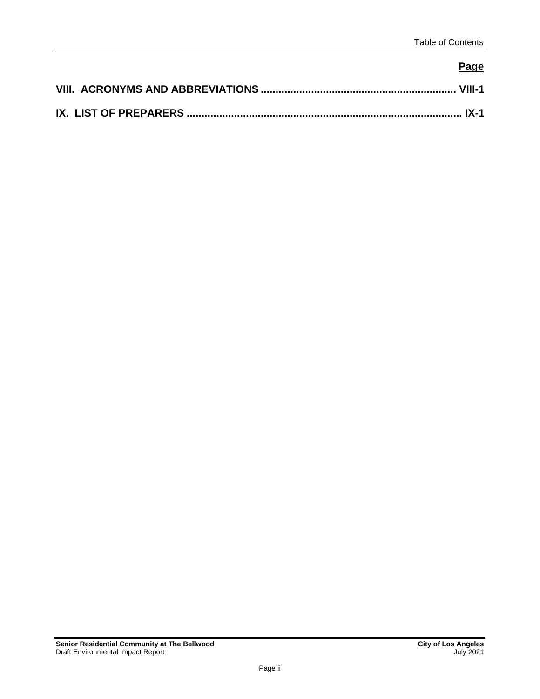## **Page**

| IX. LIST OF PREPARERS ……………………………………………………………………………………… IX-1 |  |
|--------------------------------------------------------------|--|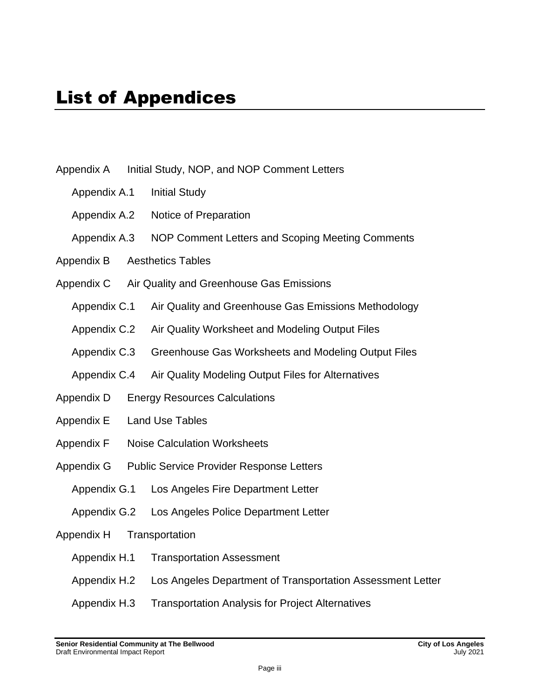- Appendix A Initial Study, NOP, and NOP Comment Letters
	- Appendix A.1 Initial Study
	- Appendix A.2 Notice of Preparation
	- Appendix A.3 NOP Comment Letters and Scoping Meeting Comments
- Appendix B Aesthetics Tables
- Appendix C Air Quality and Greenhouse Gas Emissions
	- Appendix C.1 Air Quality and Greenhouse Gas Emissions Methodology
	- Appendix C.2 Air Quality Worksheet and Modeling Output Files
	- Appendix C.3 Greenhouse Gas Worksheets and Modeling Output Files
	- Appendix C.4 Air Quality Modeling Output Files for Alternatives
- Appendix D Energy Resources Calculations
- Appendix E Land Use Tables
- Appendix F Noise Calculation Worksheets
- Appendix G Public Service Provider Response Letters
	- Appendix G.1 Los Angeles Fire Department Letter
	- Appendix G.2 Los Angeles Police Department Letter
- Appendix H Transportation
	- Appendix H.1 Transportation Assessment
	- Appendix H.2 Los Angeles Department of Transportation Assessment Letter
	- Appendix H.3 Transportation Analysis for Project Alternatives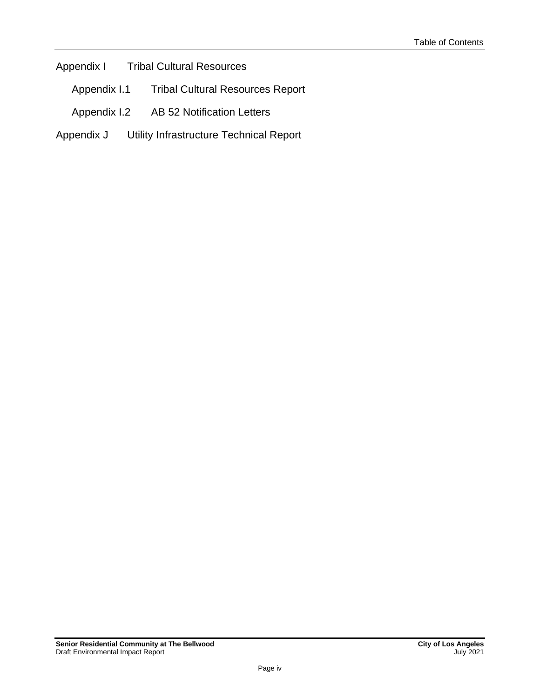Appendix I Tribal Cultural Resources

Appendix I.1 Tribal Cultural Resources Report

- Appendix I.2 AB 52 Notification Letters
- Appendix J Utility Infrastructure Technical Report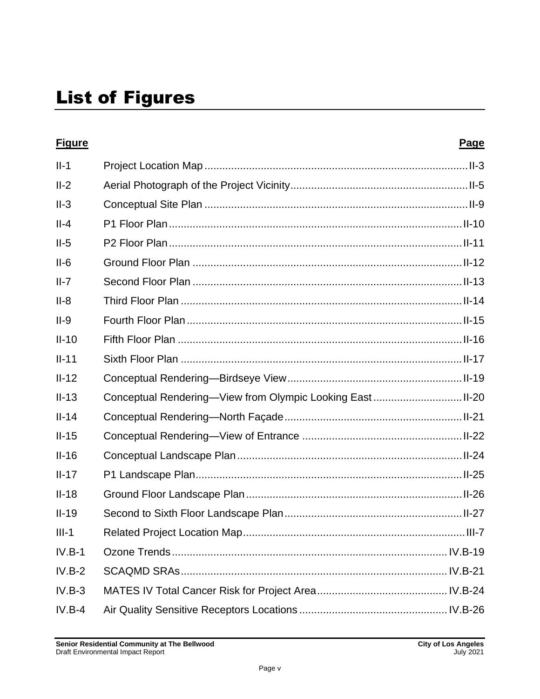| <b>Figure</b> | <b>Page</b> |
|---------------|-------------|
| $II-1$        |             |
| $II-2$        |             |
| $II-3$        |             |
| $II-4$        |             |
| $II-5$        |             |
| $II-6$        |             |
| $II-7$        |             |
| $II-8$        |             |
| $II-9$        |             |
| $II-10$       |             |
| $II-11$       |             |
| $II-12$       |             |
| $II-13$       |             |
| $II-14$       |             |
| $II-15$       |             |
| $II-16$       |             |
| $II-17$       |             |
| $II-18$       |             |
| $II-19$       |             |
| $III-1$       |             |
| $IV.B-1$      |             |
| $IV.B-2$      |             |
| $IV.B-3$      |             |
| $IV.B-4$      |             |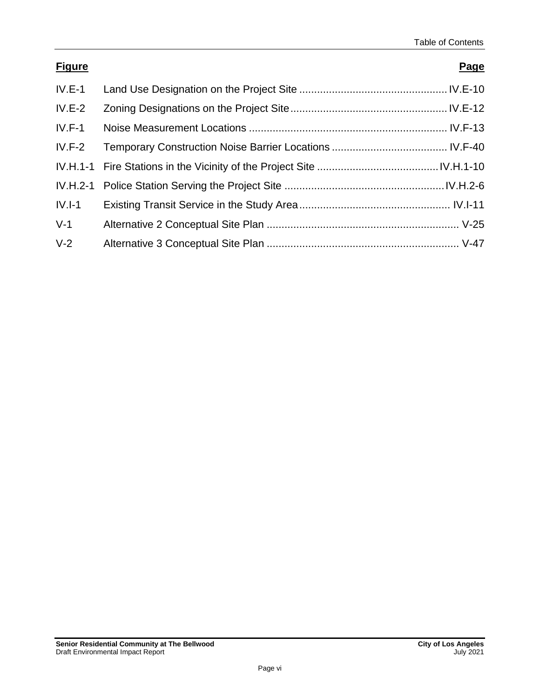| <b>Figure</b> | Page |
|---------------|------|
| $IV.E-1$      |      |
| $IV.E-2$      |      |
| $IV.F-1$      |      |
| $IV.F-2$      |      |
|               |      |
|               |      |
| $IV.I-1$      |      |
| $V-1$         |      |
| $V-2$         |      |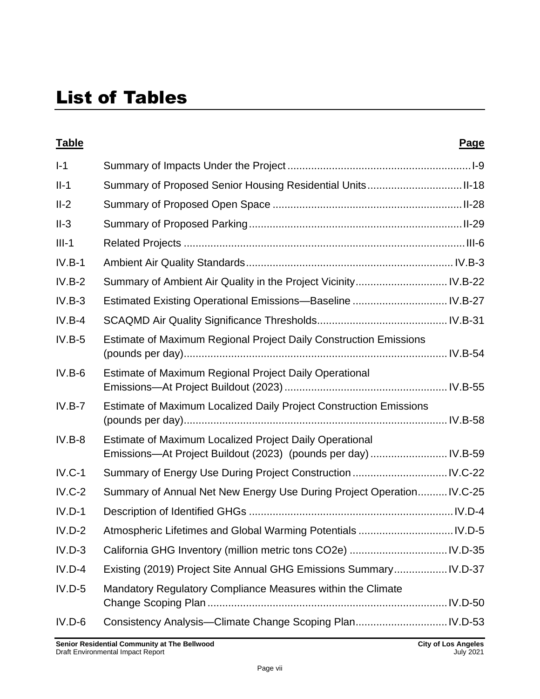| <b>Table</b> |                                                                                                                           | Page |
|--------------|---------------------------------------------------------------------------------------------------------------------------|------|
| $I-1$        |                                                                                                                           |      |
| $II-1$       | Summary of Proposed Senior Housing Residential UnitsII-18                                                                 |      |
| $II-2$       |                                                                                                                           |      |
| $II-3$       |                                                                                                                           |      |
| $III-1$      |                                                                                                                           |      |
| $IV.B-1$     |                                                                                                                           |      |
| $IV.B-2$     | Summary of Ambient Air Quality in the Project Vicinity IV.B-22                                                            |      |
| $IV.B-3$     | Estimated Existing Operational Emissions-Baseline  IV.B-27                                                                |      |
| $IV.B-4$     |                                                                                                                           |      |
| $IV.B-5$     | Estimate of Maximum Regional Project Daily Construction Emissions                                                         |      |
| $IV.B-6$     | Estimate of Maximum Regional Project Daily Operational                                                                    |      |
| $IV.B-7$     | Estimate of Maximum Localized Daily Project Construction Emissions                                                        |      |
| $IV.B-8$     | Estimate of Maximum Localized Project Daily Operational<br>Emissions-At Project Buildout (2023) (pounds per day)  IV.B-59 |      |
| $IV.C-1$     |                                                                                                                           |      |
| $IV.C-2$     | Summary of Annual Net New Energy Use During Project Operation IV.C-25                                                     |      |
| $IV.D-1$     |                                                                                                                           |      |
| $IV.D-2$     | Atmospheric Lifetimes and Global Warming Potentials  IV.D-5                                                               |      |
| $IV.D-3$     |                                                                                                                           |      |
| $IV.D-4$     | Existing (2019) Project Site Annual GHG Emissions Summary IV.D-37                                                         |      |
| $IV.D-5$     | Mandatory Regulatory Compliance Measures within the Climate                                                               |      |
| $IV.D-6$     |                                                                                                                           |      |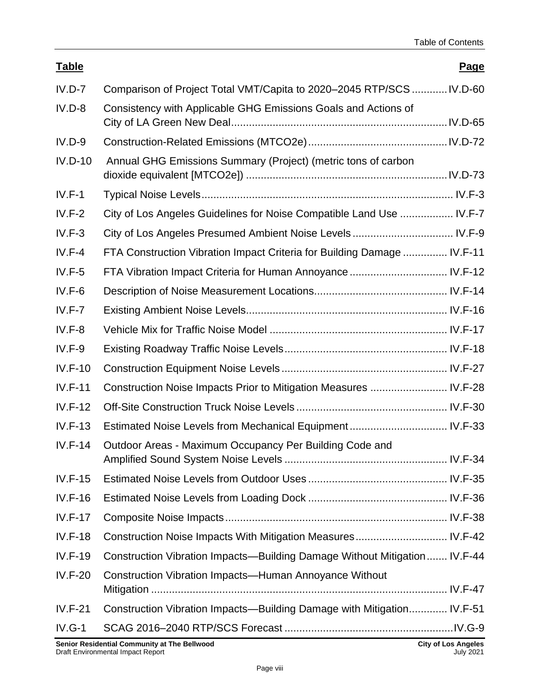| <b>Table</b>   |                                                                           | <b>Page</b> |
|----------------|---------------------------------------------------------------------------|-------------|
| $IV.D-7$       | Comparison of Project Total VMT/Capita to 2020–2045 RTP/SCS  IV.D-60      |             |
| $IV.D-8$       | Consistency with Applicable GHG Emissions Goals and Actions of            |             |
| $IV.D-9$       |                                                                           |             |
| $IV.D-10$      | Annual GHG Emissions Summary (Project) (metric tons of carbon             |             |
| $IV.F-1$       |                                                                           |             |
| $IV.F-2$       | City of Los Angeles Guidelines for Noise Compatible Land Use  IV.F-7      |             |
| $IV.F-3$       | City of Los Angeles Presumed Ambient Noise Levels  IV.F-9                 |             |
| $IV.F-4$       | FTA Construction Vibration Impact Criteria for Building Damage  IV.F-11   |             |
| $IV.F-5$       | FTA Vibration Impact Criteria for Human Annoyance  IV.F-12                |             |
| $IV.F-6$       |                                                                           |             |
| $IV.F-7$       |                                                                           |             |
| $IV.F-8$       |                                                                           |             |
| $IV.F-9$       |                                                                           |             |
| $IV.F-10$      |                                                                           |             |
| $IV.F-11$      | Construction Noise Impacts Prior to Mitigation Measures  IV.F-28          |             |
| $IV.F-12$      |                                                                           |             |
| $IV.F-13$      |                                                                           |             |
| $IV.F-14$      | Outdoor Areas - Maximum Occupancy Per Building Code and                   |             |
| $IV.F-15$      |                                                                           |             |
| $IV.F-16$      |                                                                           |             |
| <b>IV.F-17</b> |                                                                           |             |
| <b>IV.F-18</b> | Construction Noise Impacts With Mitigation Measures IV.F-42               |             |
| $IV.F-19$      | Construction Vibration Impacts-Building Damage Without Mitigation IV.F-44 |             |
| $IV.F-20$      | <b>Construction Vibration Impacts—Human Annoyance Without</b>             |             |
| $IV.F-21$      | Construction Vibration Impacts-Building Damage with Mitigation IV.F-51    |             |
| $IV.G-1$       |                                                                           |             |
|                |                                                                           |             |